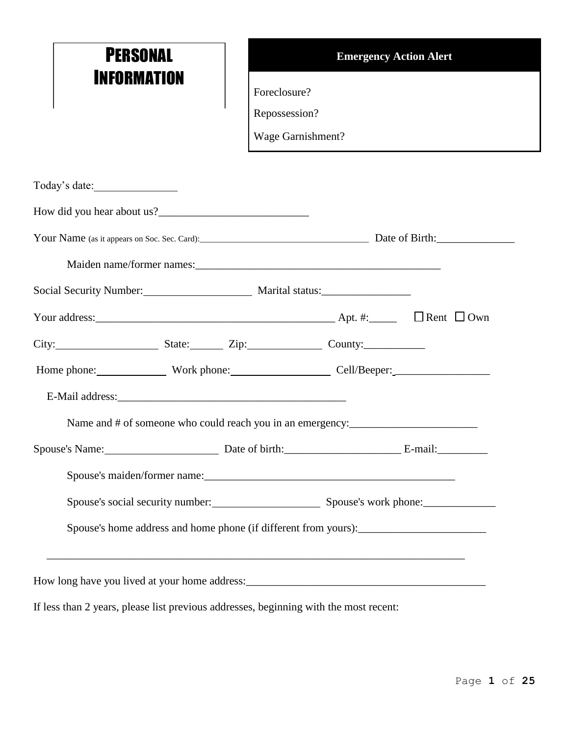| <b>PERSONAL</b>                                         |                   | <b>Emergency Action Alert</b>                                                     |
|---------------------------------------------------------|-------------------|-----------------------------------------------------------------------------------|
| INFORMATION                                             | Foreclosure?      |                                                                                   |
|                                                         | Repossession?     |                                                                                   |
|                                                         | Wage Garnishment? |                                                                                   |
| Today's date:                                           |                   |                                                                                   |
| How did you hear about us?                              |                   |                                                                                   |
|                                                         |                   |                                                                                   |
|                                                         |                   |                                                                                   |
| Social Security Number: Marital status: Marital status: |                   |                                                                                   |
| Your address: $\Box$ Own                                |                   |                                                                                   |
| City: State: Zip: County:                               |                   |                                                                                   |
| Home phone: Work phone: Cell/Beeper: Cell/Beeper:       |                   |                                                                                   |
|                                                         |                   |                                                                                   |
|                                                         |                   | Name and # of someone who could reach you in an emergency:                        |
| Spouse's Name: Date of birth: E-mail: E-mail:           |                   |                                                                                   |
|                                                         |                   |                                                                                   |
|                                                         |                   | Spouse's social security number: Spouse's work phone: ___________________________ |
|                                                         |                   |                                                                                   |

If less than 2 years, please list previous addresses, beginning with the most recent: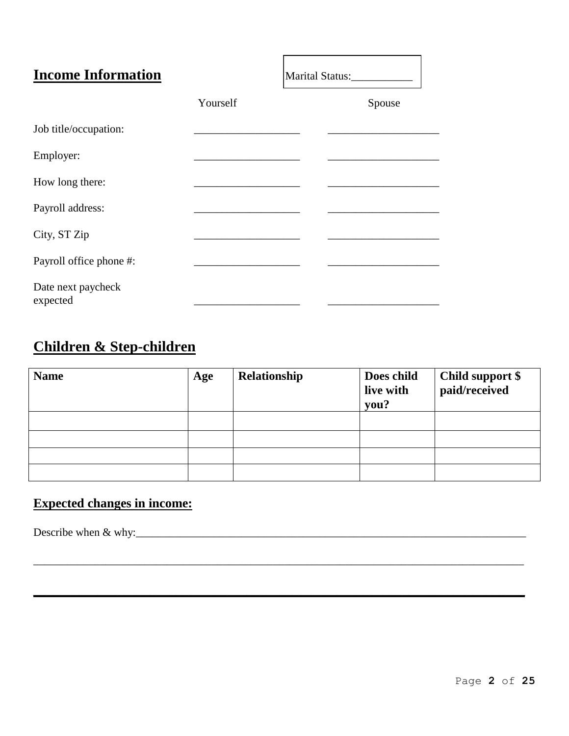| <b>Income Information</b>      |          | Marital Status:_____________ |
|--------------------------------|----------|------------------------------|
|                                | Yourself | Spouse                       |
| Job title/occupation:          |          |                              |
| Employer:                      |          |                              |
| How long there:                |          |                              |
| Payroll address:               |          |                              |
| City, ST Zip                   |          |                              |
| Payroll office phone #:        |          |                              |
| Date next paycheck<br>expected |          |                              |

### **Children & Step-children**

| <b>Name</b> | Age | Relationship | Does child<br>live with<br>you? | Child support \$<br>paid/received |
|-------------|-----|--------------|---------------------------------|-----------------------------------|
|             |     |              |                                 |                                   |
|             |     |              |                                 |                                   |
|             |     |              |                                 |                                   |
|             |     |              |                                 |                                   |

\_\_\_\_\_\_\_\_\_\_\_\_\_\_\_\_\_\_\_\_\_\_\_\_\_\_\_\_\_\_\_\_\_\_\_\_\_\_\_\_\_\_\_\_\_\_\_\_\_\_\_\_\_\_\_\_\_\_\_\_\_\_\_\_\_\_\_\_\_\_\_\_\_\_\_\_\_\_\_\_\_\_\_\_\_\_\_\_

**\_\_\_\_\_\_\_\_\_\_\_\_\_\_\_\_\_\_\_\_\_\_\_\_\_\_\_\_\_\_\_\_\_\_\_\_\_\_\_\_\_\_\_\_\_\_\_\_\_\_\_\_\_\_\_\_\_\_\_\_\_\_\_\_\_\_\_\_\_\_\_\_\_\_\_\_**

#### **Expected changes in income:**

Describe when  $\&$  why: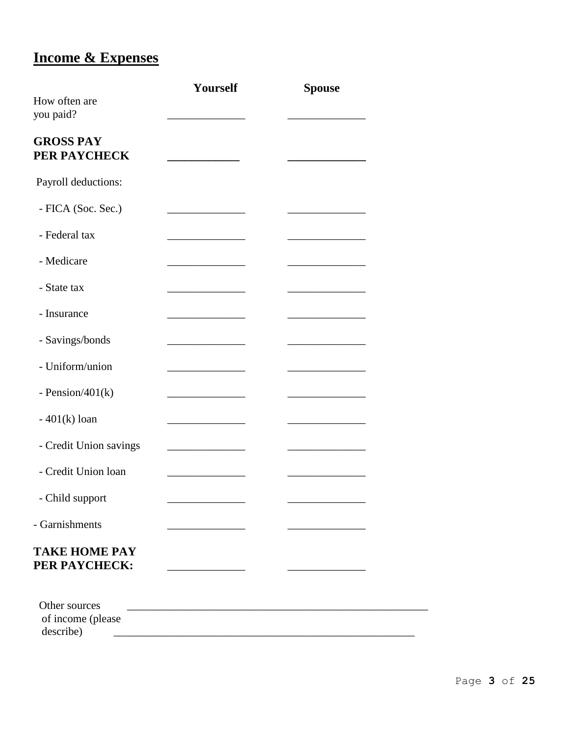## **Income & Expenses**

|                                                 | Yourself                                          | <b>Spouse</b> |
|-------------------------------------------------|---------------------------------------------------|---------------|
| How often are<br>you paid?                      |                                                   |               |
| <b>GROSS PAY</b><br>PER PAYCHECK                |                                                   |               |
| Payroll deductions:                             |                                                   |               |
| - FICA (Soc. Sec.)                              |                                                   |               |
| - Federal tax                                   |                                                   |               |
| - Medicare                                      |                                                   |               |
| - State tax                                     |                                                   |               |
| - Insurance                                     |                                                   |               |
| - Savings/bonds                                 |                                                   |               |
| - Uniform/union                                 |                                                   |               |
| - Pension/ $401(k)$                             |                                                   |               |
| $-401(k)$ loan                                  | <u> 1980 - Johann Barn, mars et al.</u>           |               |
| - Credit Union savings                          | <u> 1989 - Johann Barnett, fransk politiker (</u> |               |
| - Credit Union loan                             |                                                   |               |
| - Child support                                 |                                                   |               |
| - Garnishments                                  |                                                   |               |
| <b>TAKE HOME PAY</b><br>PER PAYCHECK:           |                                                   |               |
| Other sources<br>of income (please<br>describe) |                                                   |               |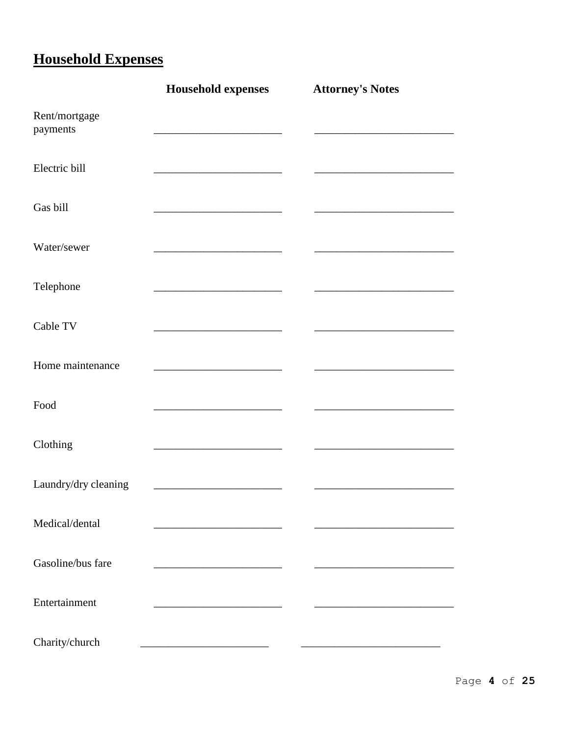# **Household Expenses**

|                           | <b>Household expenses</b>               | <b>Attorney's Notes</b> |
|---------------------------|-----------------------------------------|-------------------------|
| Rent/mortgage<br>payments |                                         |                         |
| Electric bill             |                                         |                         |
| Gas bill                  |                                         |                         |
| Water/sewer               |                                         |                         |
| Telephone                 |                                         |                         |
| Cable TV                  |                                         |                         |
| Home maintenance          |                                         |                         |
| Food                      |                                         |                         |
| Clothing                  |                                         |                         |
| Laundry/dry cleaning      | <u> 1989 - Johann Barbara, martxa a</u> |                         |
| Medical/dental            |                                         |                         |
| Gasoline/bus fare         |                                         |                         |
| Entertainment             |                                         |                         |
| Charity/church            |                                         |                         |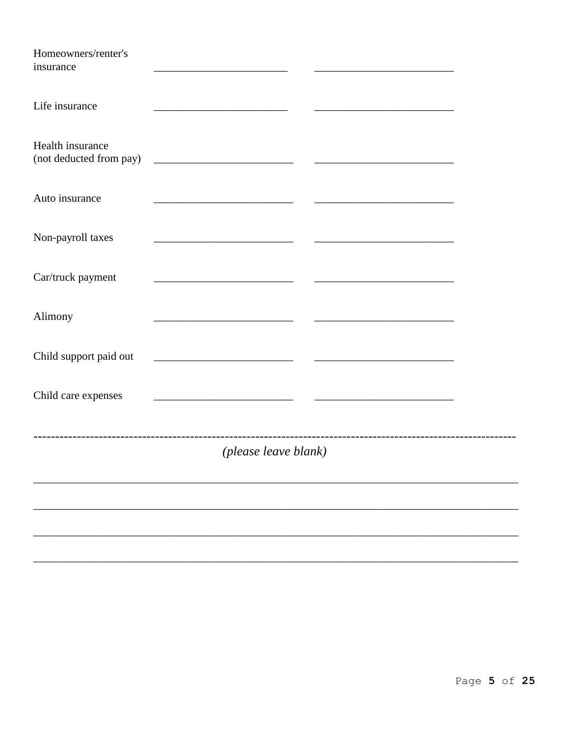| Homeowners/renter's<br>insurance            |                                                                                                                      |                                                                                           |  |
|---------------------------------------------|----------------------------------------------------------------------------------------------------------------------|-------------------------------------------------------------------------------------------|--|
| Life insurance                              |                                                                                                                      |                                                                                           |  |
| Health insurance<br>(not deducted from pay) |                                                                                                                      |                                                                                           |  |
| Auto insurance                              | <u> 1989 - Johann Barn, mars eta bainar eta idazlea (h. 1989).</u>                                                   |                                                                                           |  |
| Non-payroll taxes                           |                                                                                                                      |                                                                                           |  |
| Car/truck payment                           | <u> 1989 - Johann Barbara, martin amerikan basar dan basa dan basa dan basa dalam basa dalam basa dalam basa dan</u> |                                                                                           |  |
| Alimony                                     |                                                                                                                      | the control of the control of the control of the control of the control of the control of |  |
| Child support paid out                      | <u> 2000 - Jan James James Jan James James James James James James James James James James James James James Jam</u> |                                                                                           |  |
| Child care expenses                         | <u> 1980 - Johann Barbara, martin amerikan personal (</u>                                                            |                                                                                           |  |
|                                             | (please leave blank)                                                                                                 |                                                                                           |  |
|                                             |                                                                                                                      |                                                                                           |  |
|                                             |                                                                                                                      |                                                                                           |  |
|                                             |                                                                                                                      |                                                                                           |  |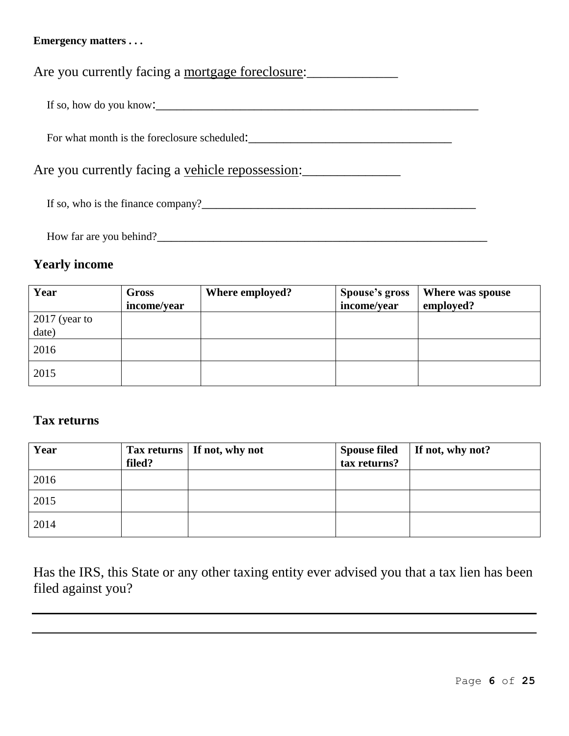#### **Emergency matters . . .**

Are you currently facing a mortgage foreclosure:

If so, how do you know:  $\blacksquare$ 

For what month is the foreclosure scheduled:

Are you currently facing a vehicle repossession:

If so, who is the finance company?\_\_\_\_\_\_\_\_\_\_\_\_\_\_\_\_\_\_\_\_\_\_\_\_\_\_\_\_\_\_\_\_\_\_\_\_\_\_\_

How far are you behind?\_\_\_\_\_\_\_\_\_\_\_\_\_\_\_\_\_\_\_\_\_\_\_\_\_\_\_\_\_\_\_\_\_\_\_\_\_\_\_\_\_\_\_\_\_\_\_

#### **Yearly income**

| Year            | Gross       | Where employed? | <b>Spouse's gross</b> | Where was spouse |
|-----------------|-------------|-----------------|-----------------------|------------------|
|                 | income/year |                 | income/year           | employed?        |
| $2017$ (year to |             |                 |                       |                  |
| date)           |             |                 |                       |                  |
| 2016            |             |                 |                       |                  |
| 2015            |             |                 |                       |                  |

#### **Tax returns**

| Year | filed? | Tax returns   If not, why not | <b>Spouse filed</b><br>tax returns? | If not, why not? |
|------|--------|-------------------------------|-------------------------------------|------------------|
| 2016 |        |                               |                                     |                  |
| 2015 |        |                               |                                     |                  |
| 2014 |        |                               |                                     |                  |

Has the IRS, this State or any other taxing entity ever advised you that a tax lien has been filed against you?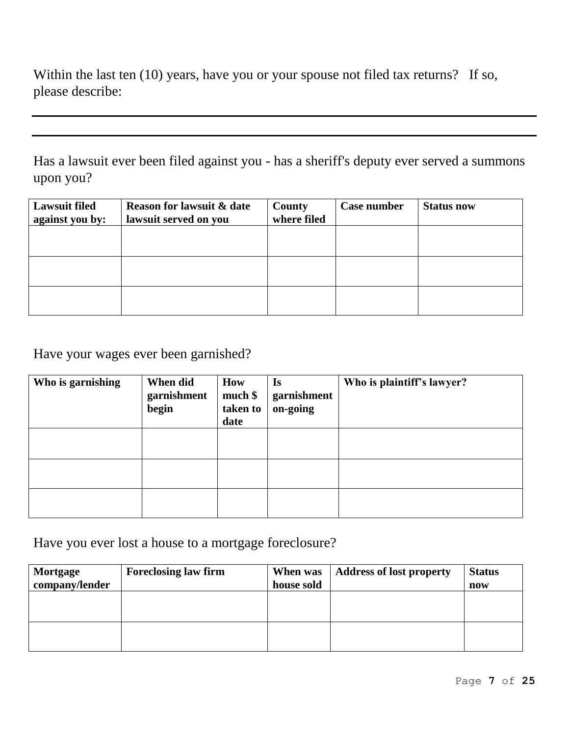Within the last ten (10) years, have you or your spouse not filed tax returns? If so, please describe:

Has a lawsuit ever been filed against you - has a sheriff's deputy ever served a summons upon you?

| <b>Lawsuit filed</b><br>against you by: | <b>Reason for lawsuit &amp; date</b><br>lawsuit served on you | County<br>where filed | Case number | <b>Status now</b> |
|-----------------------------------------|---------------------------------------------------------------|-----------------------|-------------|-------------------|
|                                         |                                                               |                       |             |                   |
|                                         |                                                               |                       |             |                   |
|                                         |                                                               |                       |             |                   |

Have your wages ever been garnished?

| Who is garnishing | When did<br>garnishment<br>begin | How<br>$much$ \$<br>taken to<br>date | <b>Is</b><br>garnishment<br>on-going | Who is plaintiff's lawyer? |
|-------------------|----------------------------------|--------------------------------------|--------------------------------------|----------------------------|
|                   |                                  |                                      |                                      |                            |
|                   |                                  |                                      |                                      |                            |
|                   |                                  |                                      |                                      |                            |

Have you ever lost a house to a mortgage foreclosure?

| Mortgage       | <b>Foreclosing law firm</b> | When was   | <b>Address of lost property</b> | <b>Status</b> |
|----------------|-----------------------------|------------|---------------------------------|---------------|
| company/lender |                             | house sold |                                 | now           |
|                |                             |            |                                 |               |
|                |                             |            |                                 |               |
|                |                             |            |                                 |               |
|                |                             |            |                                 |               |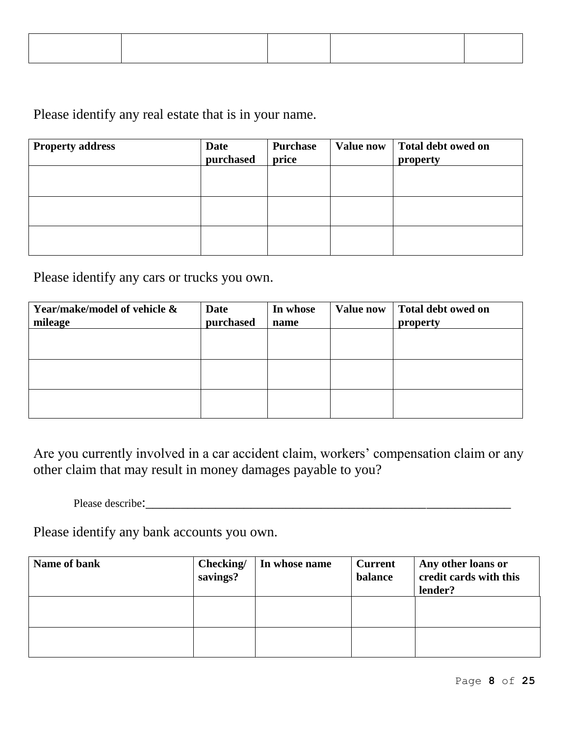Please identify any real estate that is in your name.

| <b>Property address</b> | <b>Date</b><br>purchased | Purchase<br>price | <b>Value now</b> | Total debt owed on<br>property |
|-------------------------|--------------------------|-------------------|------------------|--------------------------------|
|                         |                          |                   |                  |                                |
|                         |                          |                   |                  |                                |
|                         |                          |                   |                  |                                |

Please identify any cars or trucks you own.

| Year/make/model of vehicle & | Date      | In whose | <b>Value now</b> | Total debt owed on |
|------------------------------|-----------|----------|------------------|--------------------|
| mileage                      | purchased | name     |                  | property           |
|                              |           |          |                  |                    |
|                              |           |          |                  |                    |
|                              |           |          |                  |                    |
|                              |           |          |                  |                    |
|                              |           |          |                  |                    |
|                              |           |          |                  |                    |

Are you currently involved in a car accident claim, workers' compensation claim or any other claim that may result in money damages payable to you?

Please describe:\_\_\_\_\_\_\_\_\_\_\_\_\_\_\_\_\_\_\_\_\_\_\_\_\_\_\_\_\_\_\_\_\_\_\_\_\_\_\_\_\_\_\_\_\_\_\_\_\_\_\_\_

Please identify any bank accounts you own.

| Name of bank | Checking/<br>savings? | In whose name | <b>Current</b><br>balance | Any other loans or<br>credit cards with this<br>lender? |
|--------------|-----------------------|---------------|---------------------------|---------------------------------------------------------|
|              |                       |               |                           |                                                         |
|              |                       |               |                           |                                                         |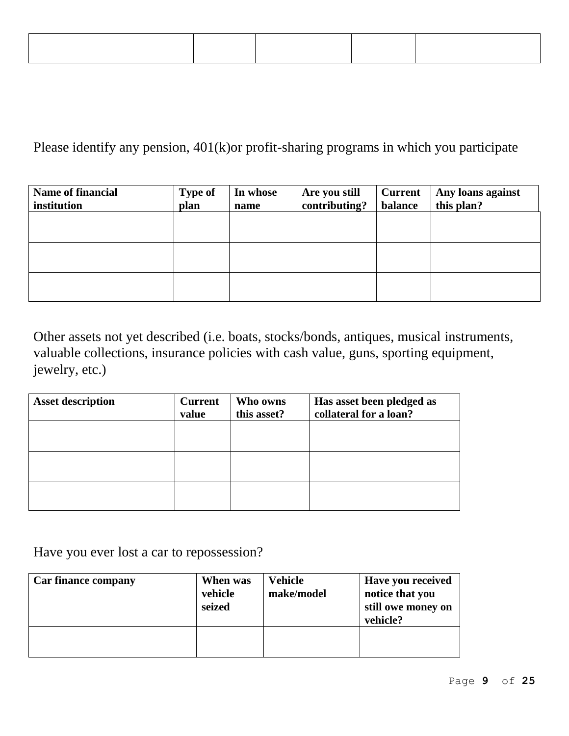Please identify any pension, 401(k)or profit-sharing programs in which you participate

| <b>Name of financial</b><br>institution | <b>Type of</b><br>plan | In whose<br>name | <b>Are you still</b><br>contributing? | <b>Current</b><br>balance | Any loans against<br>this plan? |
|-----------------------------------------|------------------------|------------------|---------------------------------------|---------------------------|---------------------------------|
|                                         |                        |                  |                                       |                           |                                 |
|                                         |                        |                  |                                       |                           |                                 |
|                                         |                        |                  |                                       |                           |                                 |

Other assets not yet described (i.e. boats, stocks/bonds, antiques, musical instruments, valuable collections, insurance policies with cash value, guns, sporting equipment, jewelry, etc.)

| <b>Asset description</b> | <b>Current</b><br>value | Who owns<br>this asset? | Has asset been pledged as<br>collateral for a loan? |
|--------------------------|-------------------------|-------------------------|-----------------------------------------------------|
|                          |                         |                         |                                                     |
|                          |                         |                         |                                                     |
|                          |                         |                         |                                                     |

Have you ever lost a car to repossession?

| <b>Car finance company</b> | When was<br>vehicle<br>seized | Vehicle<br>make/model | Have you received<br>notice that you<br>still owe money on<br>vehicle? |
|----------------------------|-------------------------------|-----------------------|------------------------------------------------------------------------|
|                            |                               |                       |                                                                        |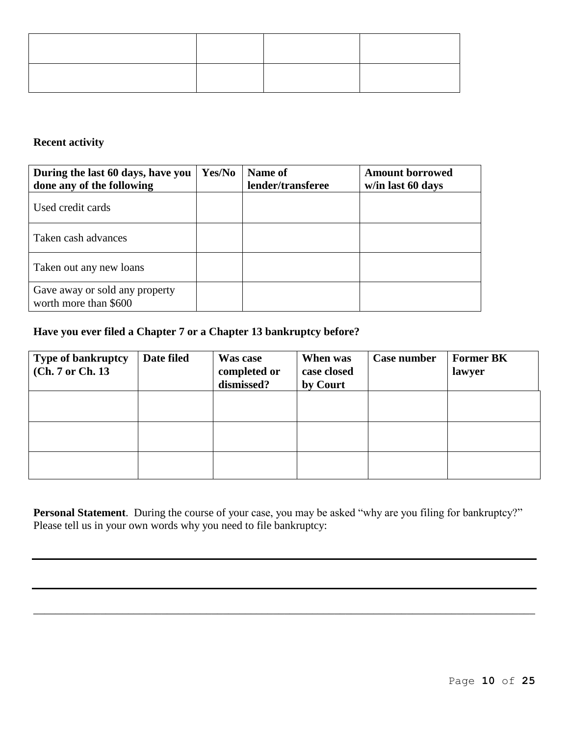**Recent activity**

| During the last 60 days, have you<br>done any of the following | Yes/No | Name of<br>lender/transferee | <b>Amount borrowed</b><br>w/in last 60 days |
|----------------------------------------------------------------|--------|------------------------------|---------------------------------------------|
| Used credit cards                                              |        |                              |                                             |
| Taken cash advances                                            |        |                              |                                             |
| Taken out any new loans                                        |        |                              |                                             |
| Gave away or sold any property<br>worth more than \$600        |        |                              |                                             |

#### **Have you ever filed a Chapter 7 or a Chapter 13 bankruptcy before?**

| <b>Type of bankruptcy</b><br>(Ch. 7 or Ch. 13) | Date filed | Was case<br>completed or<br>dismissed? | When was<br>case closed<br>by Court | Case number | <b>Former BK</b><br>lawyer |
|------------------------------------------------|------------|----------------------------------------|-------------------------------------|-------------|----------------------------|
|                                                |            |                                        |                                     |             |                            |
|                                                |            |                                        |                                     |             |                            |
|                                                |            |                                        |                                     |             |                            |

**Personal Statement**. During the course of your case, you may be asked "why are you filing for bankruptcy?" Please tell us in your own words why you need to file bankruptcy:

\_\_\_\_\_\_\_\_\_\_\_\_\_\_\_\_\_\_\_\_\_\_\_\_\_\_\_\_\_\_\_\_\_\_\_\_\_\_\_\_\_\_\_\_\_\_\_\_\_\_\_\_\_\_\_\_\_\_\_\_\_\_\_\_\_\_\_\_\_\_\_\_\_\_\_\_\_\_\_\_\_\_\_\_\_\_\_\_\_\_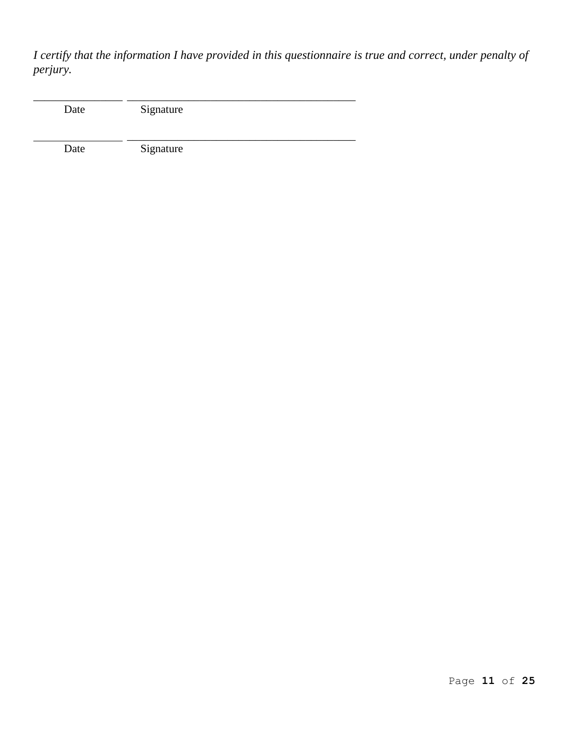*I certify that the information I have provided in this questionnaire is true and correct, under penalty of perjury.*

| Date | Signature |
|------|-----------|
| Date | Signature |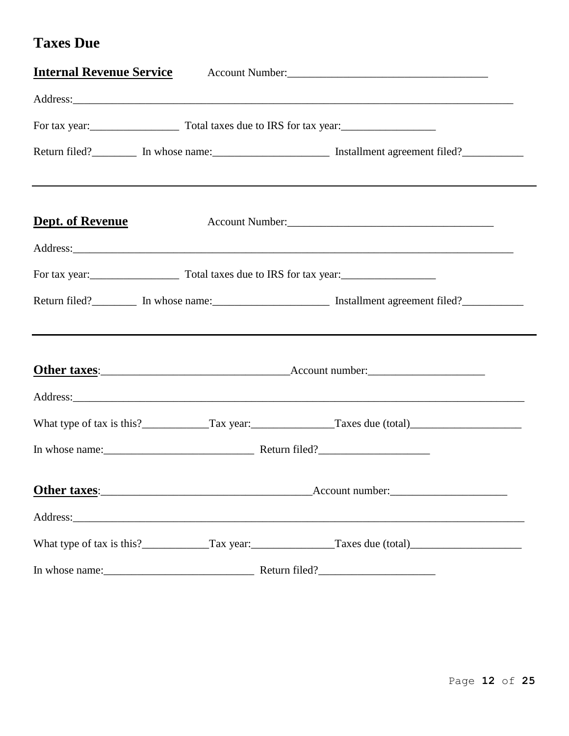### **Taxes Due**

| <b>Internal Revenue Service</b> |                                                                            |                                                                                                                                                                                                                                                               |
|---------------------------------|----------------------------------------------------------------------------|---------------------------------------------------------------------------------------------------------------------------------------------------------------------------------------------------------------------------------------------------------------|
|                                 |                                                                            |                                                                                                                                                                                                                                                               |
|                                 | For tax year:<br><u>For tax year:</u> Total taxes due to IRS for tax year: |                                                                                                                                                                                                                                                               |
|                                 |                                                                            | Return filed? <b>Manufarian:</b> In whose name: <b>Manufarian:</b> Installment agreement filed? <b>Manufarian:</b> Installment agreement filed? <b>Manufarian:</b> Installment agreement filed? <b>Manufarian:</b> Installment agreement filed? <b>Manufa</b> |
| Dept. of Revenue                |                                                                            |                                                                                                                                                                                                                                                               |
|                                 |                                                                            |                                                                                                                                                                                                                                                               |
|                                 | For tax year:<br><u>For tax year:</u> Total taxes due to IRS for tax year: |                                                                                                                                                                                                                                                               |
|                                 |                                                                            | Return filed? <b>Manufarian:</b> In whose name: <b>Manufarian:</b> Installment agreement filed? <b>Manufarian:</b> Installment agreement filed? <b>Manufarian:</b> Installment agreement filed? <b>Manufarian:</b> Installment agreement filed? <b>Manufa</b> |
|                                 |                                                                            | Other taxes: Account number:                                                                                                                                                                                                                                  |
|                                 |                                                                            |                                                                                                                                                                                                                                                               |
|                                 |                                                                            |                                                                                                                                                                                                                                                               |
|                                 |                                                                            |                                                                                                                                                                                                                                                               |
|                                 |                                                                            | Other taxes: Account number:                                                                                                                                                                                                                                  |
|                                 |                                                                            |                                                                                                                                                                                                                                                               |
|                                 |                                                                            |                                                                                                                                                                                                                                                               |
|                                 |                                                                            |                                                                                                                                                                                                                                                               |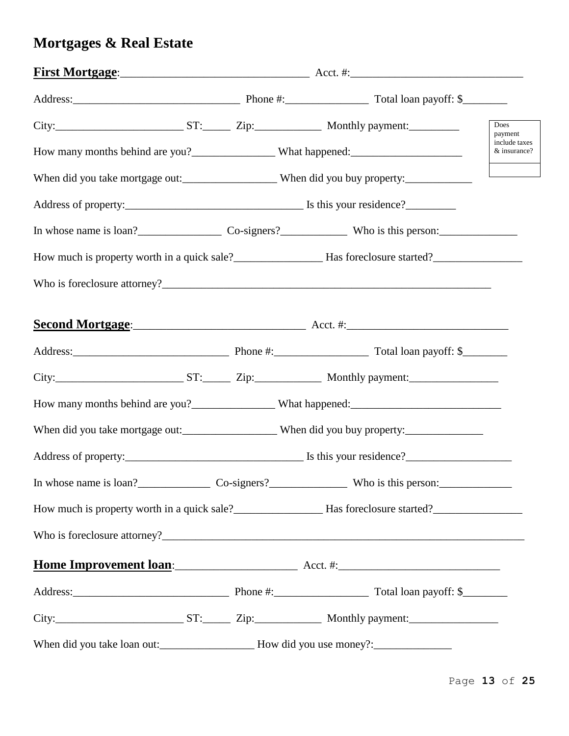# **Mortgages & Real Estate**

|  |  |                                                                                                                                                                                                                                     | Does<br>payment               |
|--|--|-------------------------------------------------------------------------------------------------------------------------------------------------------------------------------------------------------------------------------------|-------------------------------|
|  |  |                                                                                                                                                                                                                                     | include taxes<br>& insurance? |
|  |  | When did you take mortgage out:_______________________When did you buy property:____________________                                                                                                                                |                               |
|  |  |                                                                                                                                                                                                                                     |                               |
|  |  |                                                                                                                                                                                                                                     |                               |
|  |  | How much is property worth in a quick sale?<br><u>Example 2001</u> Has foreclosure started?<br>Has foreclosure started?                                                                                                             |                               |
|  |  |                                                                                                                                                                                                                                     |                               |
|  |  | Second Mortgage: <u>Second Mortgage:</u> Second Mortgage: Second Mortgage: Second Mortgage: Second Mortgage: Second Mortgage: Second Mortgage: Second Mortgage: Second Mortgage: Second Mortgage: Second Mortgage: Second Mortgage: |                               |
|  |  |                                                                                                                                                                                                                                     |                               |
|  |  |                                                                                                                                                                                                                                     |                               |
|  |  |                                                                                                                                                                                                                                     |                               |
|  |  | When did you take mortgage out:_____________________When did you buy property:______________________                                                                                                                                |                               |
|  |  |                                                                                                                                                                                                                                     |                               |
|  |  | In whose name is loan?<br>Co-signers?<br>Co-signers?<br>Who is this person:                                                                                                                                                         |                               |
|  |  | How much is property worth in a quick sale?<br><u>Example 2001</u> Has foreclosure started?<br>Has foreclosure started?                                                                                                             |                               |
|  |  |                                                                                                                                                                                                                                     |                               |
|  |  | Home Improvement loan: Acct. #: Acct. #:                                                                                                                                                                                            |                               |
|  |  |                                                                                                                                                                                                                                     |                               |
|  |  |                                                                                                                                                                                                                                     |                               |
|  |  |                                                                                                                                                                                                                                     |                               |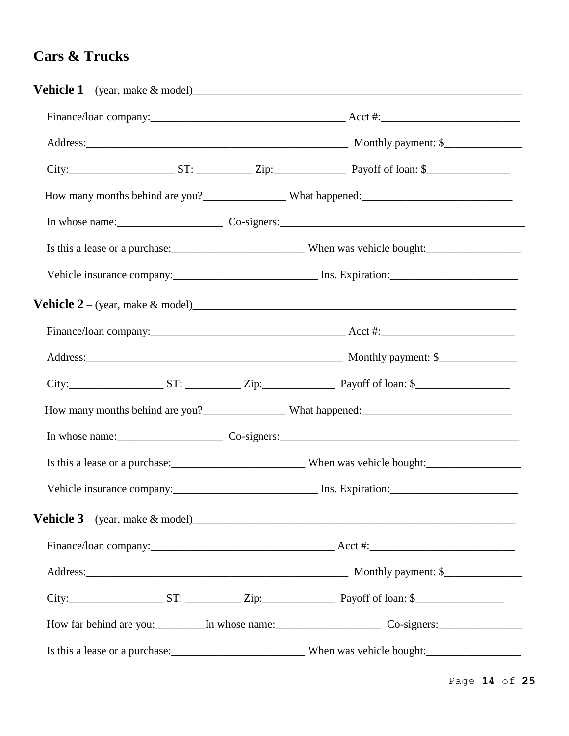### **Cars & Trucks**

|  | In whose name: Co-signers: Co-signers:                                                                         |
|--|----------------------------------------------------------------------------------------------------------------|
|  |                                                                                                                |
|  |                                                                                                                |
|  | <b>Vehicle 2</b> – (year, make & model) $\qquad \qquad$                                                        |
|  |                                                                                                                |
|  |                                                                                                                |
|  |                                                                                                                |
|  |                                                                                                                |
|  | In whose name: Co-signers: Co-signers:                                                                         |
|  |                                                                                                                |
|  | Vehicle insurance company: _________________________________ Ins. Expiration: ________________________________ |
|  |                                                                                                                |
|  |                                                                                                                |
|  |                                                                                                                |
|  |                                                                                                                |
|  |                                                                                                                |
|  |                                                                                                                |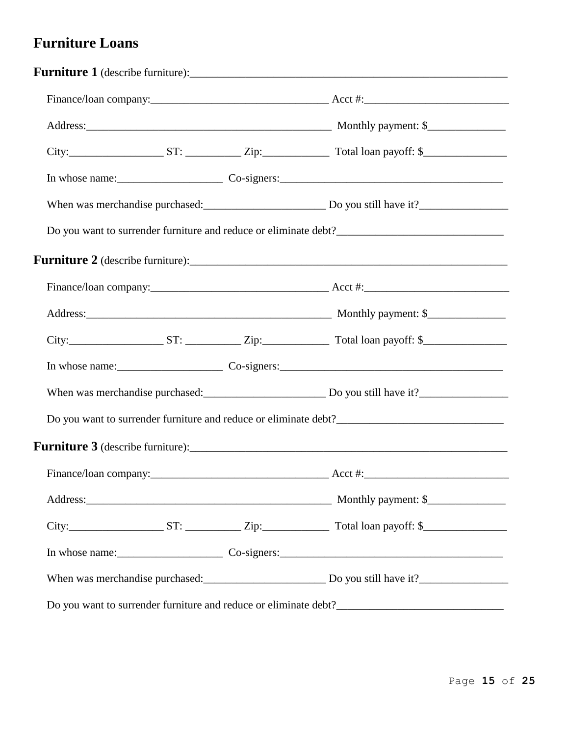### **Furniture Loans**

|                                                                 |  |                                                       | When was merchandise purchased: Do you still have it? |
|-----------------------------------------------------------------|--|-------------------------------------------------------|-------------------------------------------------------|
|                                                                 |  |                                                       |                                                       |
|                                                                 |  |                                                       |                                                       |
|                                                                 |  |                                                       |                                                       |
|                                                                 |  |                                                       |                                                       |
|                                                                 |  |                                                       |                                                       |
|                                                                 |  |                                                       |                                                       |
| When was merchandise purchased:<br><u>Do you still have it?</u> |  |                                                       |                                                       |
|                                                                 |  |                                                       |                                                       |
|                                                                 |  |                                                       |                                                       |
|                                                                 |  |                                                       |                                                       |
|                                                                 |  |                                                       |                                                       |
|                                                                 |  |                                                       |                                                       |
|                                                                 |  |                                                       |                                                       |
|                                                                 |  | When was merchandise purchased: Do you still have it? |                                                       |
|                                                                 |  |                                                       |                                                       |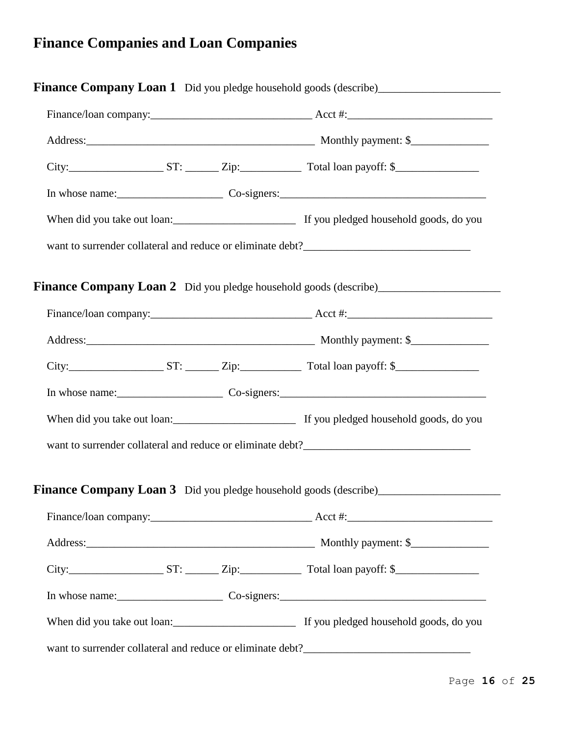# **Finance Companies and Loan Companies**

|  | City: $\frac{S}{S}$ ST: $\frac{Zip:}{Zip}$ Total loan payoff: \$ |
|--|------------------------------------------------------------------|
|  |                                                                  |
|  |                                                                  |
|  |                                                                  |
|  |                                                                  |
|  |                                                                  |
|  |                                                                  |
|  | $City:$ $Tr$ $ST:$ $Zip:$ $Total loan payoff:$ $\$               |
|  |                                                                  |
|  |                                                                  |
|  |                                                                  |
|  |                                                                  |
|  |                                                                  |
|  |                                                                  |
|  |                                                                  |
|  |                                                                  |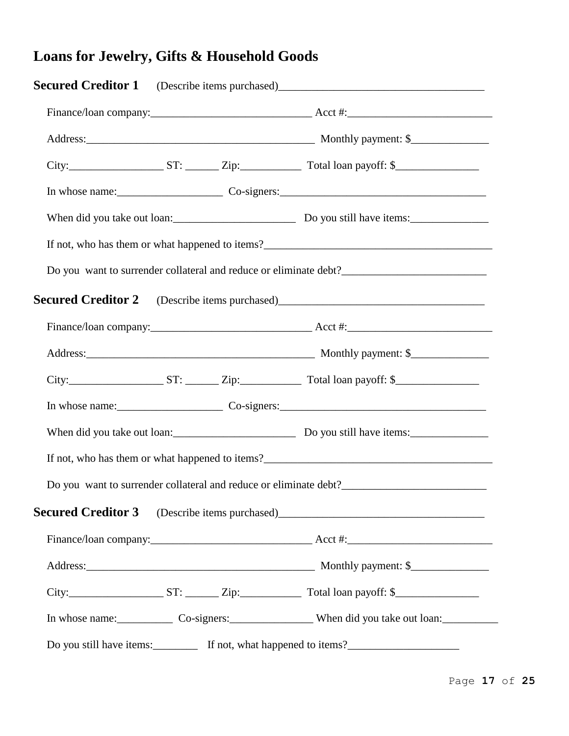# **Loans for Jewelry, Gifts & Household Goods**

| Secured Creditor 1 (Describe items purchased) __________________________________                     |  |
|------------------------------------------------------------------------------------------------------|--|
|                                                                                                      |  |
|                                                                                                      |  |
|                                                                                                      |  |
|                                                                                                      |  |
|                                                                                                      |  |
|                                                                                                      |  |
|                                                                                                      |  |
|                                                                                                      |  |
|                                                                                                      |  |
|                                                                                                      |  |
|                                                                                                      |  |
|                                                                                                      |  |
|                                                                                                      |  |
|                                                                                                      |  |
| Do you want to surrender collateral and reduce or eliminate debt?___________________________________ |  |
| Secured Creditor 3 (Describe items purchased) __________________________________                     |  |
|                                                                                                      |  |
|                                                                                                      |  |
|                                                                                                      |  |
| In whose name: Co-signers: Co-signers: When did you take out loan:                                   |  |
|                                                                                                      |  |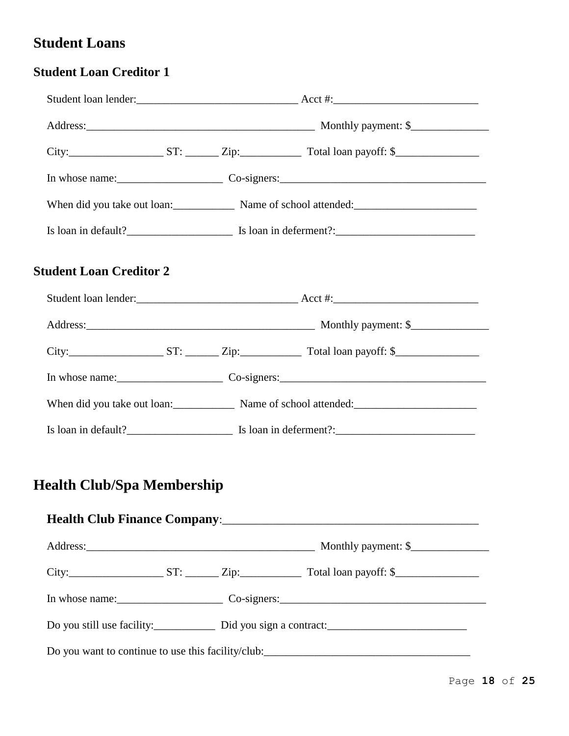### **Student Loans**

#### **Student Loan Creditor 1**

|                                |  | When did you take out loan: Name of school attended: Name of school attended:     |  |  |
|--------------------------------|--|-----------------------------------------------------------------------------------|--|--|
|                                |  |                                                                                   |  |  |
| <b>Student Loan Creditor 2</b> |  |                                                                                   |  |  |
|                                |  |                                                                                   |  |  |
|                                |  |                                                                                   |  |  |
|                                |  |                                                                                   |  |  |
|                                |  |                                                                                   |  |  |
|                                |  | When did you take out loan: Name of school attended: Name of school attended:     |  |  |
|                                |  |                                                                                   |  |  |
| Health Club/Spa Membership     |  |                                                                                   |  |  |
|                                |  |                                                                                   |  |  |
|                                |  |                                                                                   |  |  |
|                                |  |                                                                                   |  |  |
|                                |  |                                                                                   |  |  |
|                                |  | Do you want to continue to use this facility/club:_______________________________ |  |  |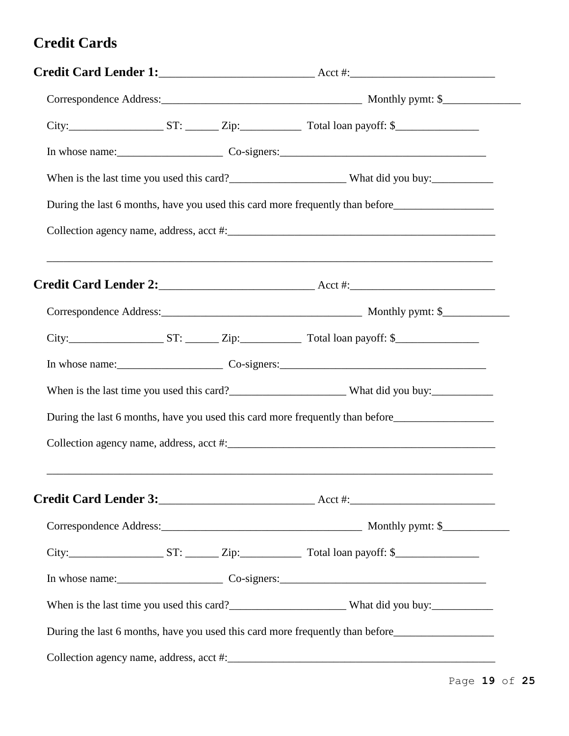#### **Credit Cards**

|  |  |  | During the last 6 months, have you used this card more frequently than before                                         |
|--|--|--|-----------------------------------------------------------------------------------------------------------------------|
|  |  |  |                                                                                                                       |
|  |  |  |                                                                                                                       |
|  |  |  |                                                                                                                       |
|  |  |  |                                                                                                                       |
|  |  |  |                                                                                                                       |
|  |  |  |                                                                                                                       |
|  |  |  | During the last 6 months, have you used this card more frequently than before_______________________                  |
|  |  |  |                                                                                                                       |
|  |  |  | <u> 1989 - Johann Harry Harry Harry Harry Harry Harry Harry Harry Harry Harry Harry Harry Harry Harry Harry Harry</u> |
|  |  |  |                                                                                                                       |
|  |  |  | City: $\frac{S}{S}$ ST: $\frac{Zip:\quad}{}$ Total loan payoff: \$                                                    |
|  |  |  |                                                                                                                       |
|  |  |  | When is the last time you used this card?<br><u> What did you buy:</u>                                                |
|  |  |  | During the last 6 months, have you used this card more frequently than before_______________________                  |
|  |  |  |                                                                                                                       |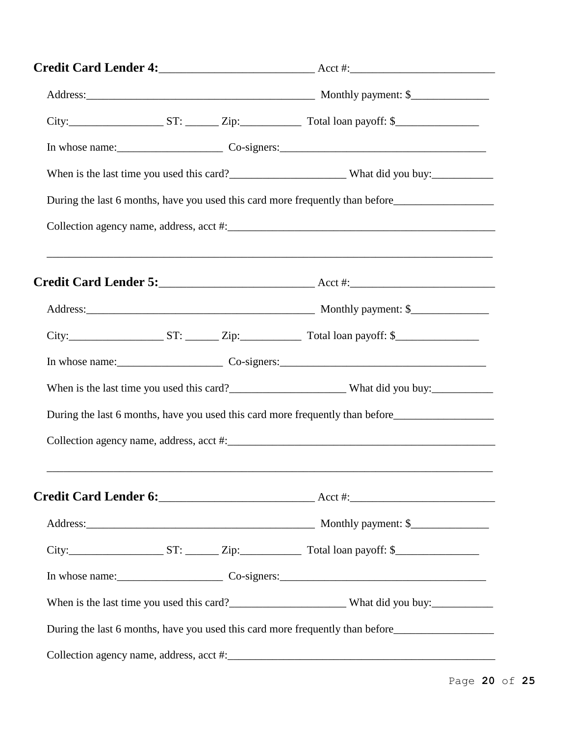|  | During the last 6 months, have you used this card more frequently than before_______________________           |
|--|----------------------------------------------------------------------------------------------------------------|
|  |                                                                                                                |
|  |                                                                                                                |
|  |                                                                                                                |
|  |                                                                                                                |
|  |                                                                                                                |
|  |                                                                                                                |
|  | During the last 6 months, have you used this card more frequently than before_________________________________ |
|  |                                                                                                                |
|  |                                                                                                                |
|  |                                                                                                                |
|  |                                                                                                                |
|  |                                                                                                                |
|  |                                                                                                                |
|  | During the last 6 months, have you used this card more frequently than before_______________________           |
|  |                                                                                                                |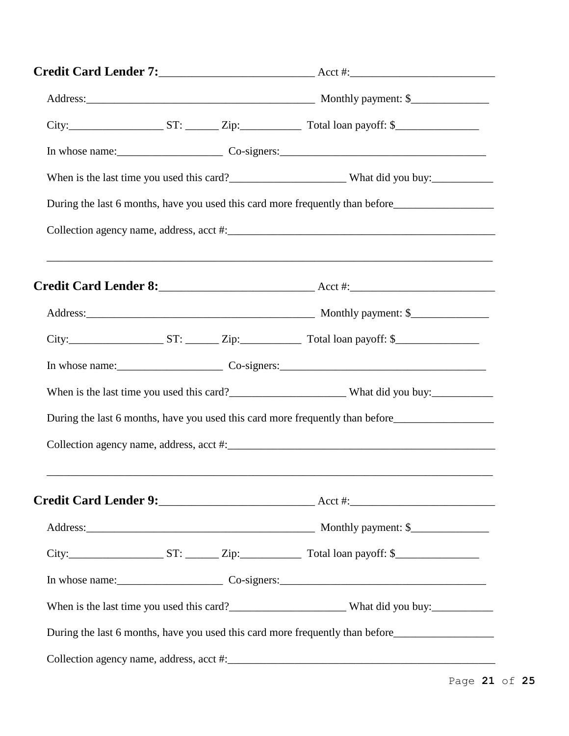|  | During the last 6 months, have you used this card more frequently than before_________________________________ |
|--|----------------------------------------------------------------------------------------------------------------|
|  |                                                                                                                |
|  | ,我们也不能在这里的时候,我们也不能在这里的时候,我们也不能不能不能不能不能不能不能不能不能不能不能不能不能不能不能。""我们的是我们的,我们也不能不能不能不能                               |
|  |                                                                                                                |
|  | $City:$ $ST:$ $ST:$ $Zip:$ $Total loan payoff:$ $$$                                                            |
|  |                                                                                                                |
|  |                                                                                                                |
|  | During the last 6 months, have you used this card more frequently than before                                  |
|  |                                                                                                                |
|  |                                                                                                                |
|  |                                                                                                                |
|  |                                                                                                                |
|  |                                                                                                                |
|  |                                                                                                                |
|  | During the last 6 months, have you used this card more frequently than before_______________________           |
|  |                                                                                                                |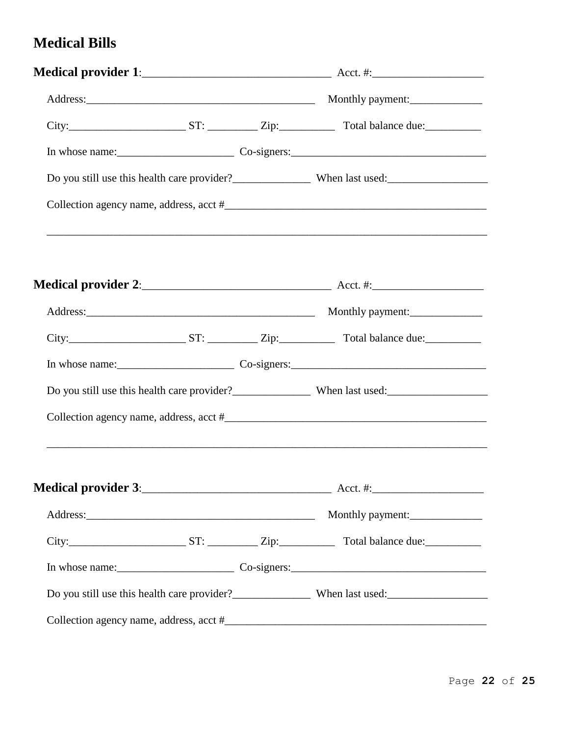#### **Medical Bills**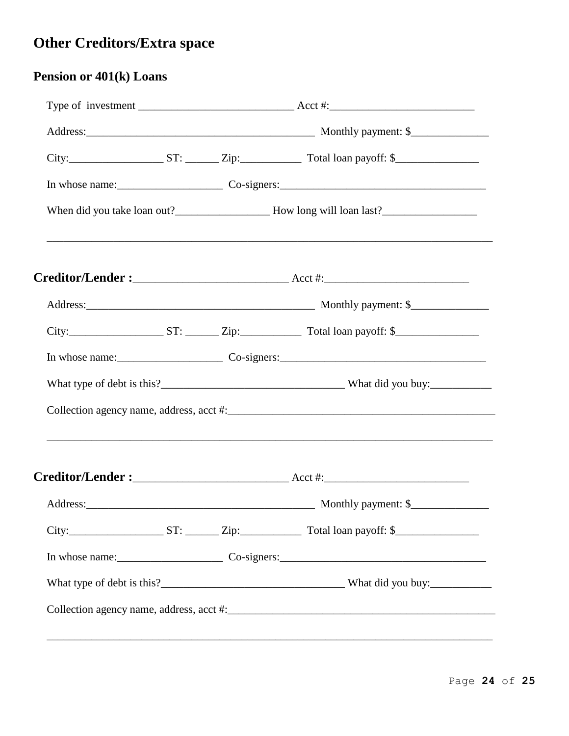# Other Creditors/Extra space

| <b>Pension or 401(k) Loans</b> |  |  |                                                                                                                                      |  |
|--------------------------------|--|--|--------------------------------------------------------------------------------------------------------------------------------------|--|
|                                |  |  | Type of investment $\frac{1}{\sqrt{1-\frac{1}{2}}}\sqrt{1-\frac{1}{2}}$ Acct #: $\frac{1}{\sqrt{1-\frac{1}{2}}}\sqrt{1-\frac{1}{2}}$ |  |
|                                |  |  |                                                                                                                                      |  |
|                                |  |  |                                                                                                                                      |  |
|                                |  |  |                                                                                                                                      |  |
|                                |  |  | ,我们也不能在这里的人,我们也不能在这里的人,我们也不能在这里的人,我们也不能在这里的人,我们也不能在这里的人,我们也不能在这里的人,我们也不能在这里的人,我们也                                                    |  |
|                                |  |  |                                                                                                                                      |  |
|                                |  |  |                                                                                                                                      |  |
|                                |  |  |                                                                                                                                      |  |
|                                |  |  |                                                                                                                                      |  |
|                                |  |  |                                                                                                                                      |  |
|                                |  |  |                                                                                                                                      |  |
|                                |  |  | ,我们也不能在这里的时候,我们也不能在这里的时候,我们也不能会在这里的时候,我们也不能会在这里的时候,我们也不能会在这里的时候,我们也不能会在这里的时候,我们也不                                                    |  |
|                                |  |  |                                                                                                                                      |  |
|                                |  |  |                                                                                                                                      |  |
|                                |  |  |                                                                                                                                      |  |
|                                |  |  |                                                                                                                                      |  |
|                                |  |  |                                                                                                                                      |  |